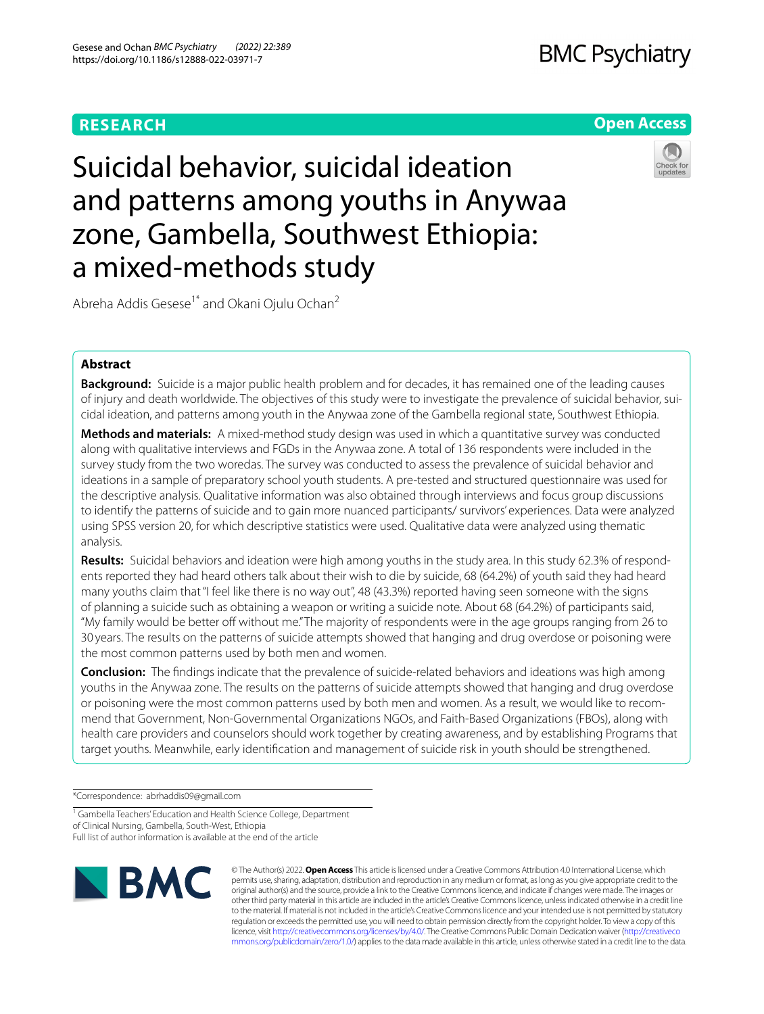# **RESEARCH**

# **BMC Psychiatry**

# **Open Access**

# Suicidal behavior, suicidal ideation and patterns among youths in Anywaa zone, Gambella, Southwest Ethiopia: a mixed-methods study



Abreha Addis Gesese<sup>1\*</sup> and Okani Ojulu Ochan<sup>2</sup>

# **Abstract**

**Background:** Suicide is a major public health problem and for decades, it has remained one of the leading causes of injury and death worldwide. The objectives of this study were to investigate the prevalence of suicidal behavior, suicidal ideation, and patterns among youth in the Anywaa zone of the Gambella regional state, Southwest Ethiopia.

**Methods and materials:** A mixed-method study design was used in which a quantitative survey was conducted along with qualitative interviews and FGDs in the Anywaa zone. A total of 136 respondents were included in the survey study from the two woredas. The survey was conducted to assess the prevalence of suicidal behavior and ideations in a sample of preparatory school youth students. A pre-tested and structured questionnaire was used for the descriptive analysis. Qualitative information was also obtained through interviews and focus group discussions to identify the patterns of suicide and to gain more nuanced participants/ survivors' experiences. Data were analyzed using SPSS version 20, for which descriptive statistics were used. Qualitative data were analyzed using thematic analysis.

**Results:** Suicidal behaviors and ideation were high among youths in the study area. In this study 62.3% of respondents reported they had heard others talk about their wish to die by suicide, 68 (64.2%) of youth said they had heard many youths claim that "I feel like there is no way out", 48 (43.3%) reported having seen someone with the signs of planning a suicide such as obtaining a weapon or writing a suicide note. About 68 (64.2%) of participants said, "My family would be better off without me." The majority of respondents were in the age groups ranging from 26 to 30 years. The results on the patterns of suicide attempts showed that hanging and drug overdose or poisoning were the most common patterns used by both men and women.

**Conclusion:** The fndings indicate that the prevalence of suicide-related behaviors and ideations was high among youths in the Anywaa zone. The results on the patterns of suicide attempts showed that hanging and drug overdose or poisoning were the most common patterns used by both men and women. As a result, we would like to recommend that Government, Non-Governmental Organizations NGOs, and Faith-Based Organizations (FBOs), along with health care providers and counselors should work together by creating awareness, and by establishing Programs that target youths. Meanwhile, early identifcation and management of suicide risk in youth should be strengthened.

\*Correspondence: abrhaddis09@gmail.com

Full list of author information is available at the end of the article



© The Author(s) 2022. **Open Access** This article is licensed under a Creative Commons Attribution 4.0 International License, which permits use, sharing, adaptation, distribution and reproduction in any medium or format, as long as you give appropriate credit to the original author(s) and the source, provide a link to the Creative Commons licence, and indicate if changes were made. The images or other third party material in this article are included in the article's Creative Commons licence, unless indicated otherwise in a credit line to the material. If material is not included in the article's Creative Commons licence and your intended use is not permitted by statutory regulation or exceeds the permitted use, you will need to obtain permission directly from the copyright holder. To view a copy of this licence, visit [http://creativecommons.org/licenses/by/4.0/.](http://creativecommons.org/licenses/by/4.0/) The Creative Commons Public Domain Dedication waiver ([http://creativeco](http://creativecommons.org/publicdomain/zero/1.0/) [mmons.org/publicdomain/zero/1.0/](http://creativecommons.org/publicdomain/zero/1.0/)) applies to the data made available in this article, unless otherwise stated in a credit line to the data.

<sup>&</sup>lt;sup>1</sup> Gambella Teachers' Education and Health Science College, Department of Clinical Nursing, Gambella, South-West, Ethiopia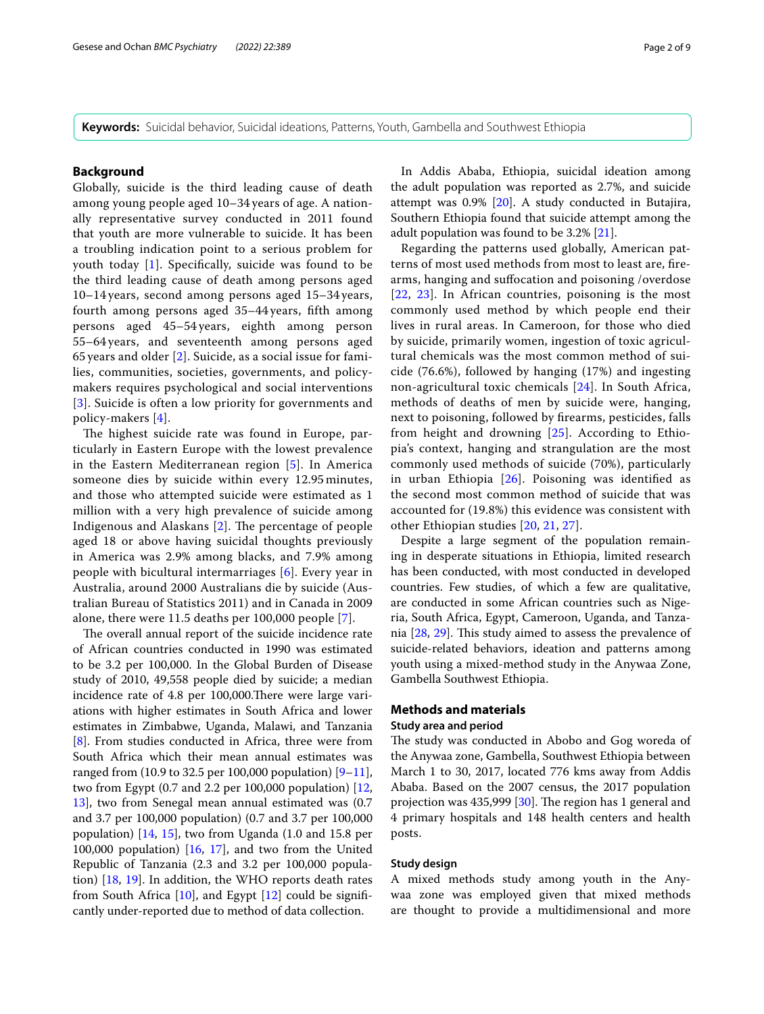**Keywords:** Suicidal behavior, Suicidal ideations, Patterns, Youth, Gambella and Southwest Ethiopia

# **Background**

Globally, suicide is the third leading cause of death among young people aged 10–34 years of age. A nationally representative survey conducted in 2011 found that youth are more vulnerable to suicide. It has been a troubling indication point to a serious problem for youth today [[1](#page-8-0)]. Specifcally, suicide was found to be the third leading cause of death among persons aged 10–14 years, second among persons aged 15–34 years, fourth among persons aged 35–44 years, ffth among persons aged 45–54 years, eighth among person 55–64 years, and seventeenth among persons aged 65 years and older [[2\]](#page-8-1). Suicide, as a social issue for families, communities, societies, governments, and policymakers requires psychological and social interventions [[3](#page-8-2)]. Suicide is often a low priority for governments and policy-makers [\[4](#page-8-3)].

The highest suicide rate was found in Europe, particularly in Eastern Europe with the lowest prevalence in the Eastern Mediterranean region [[5](#page-8-4)]. In America someone dies by suicide within every 12.95 minutes, and those who attempted suicide were estimated as 1 million with a very high prevalence of suicide among Indigenous and Alaskans  $[2]$  $[2]$ . The percentage of people aged 18 or above having suicidal thoughts previously in America was 2.9% among blacks, and 7.9% among people with bicultural intermarriages [\[6\]](#page-8-5). Every year in Australia, around 2000 Australians die by suicide (Australian Bureau of Statistics 2011) and in Canada in 2009 alone, there were 11.5 deaths per 100,000 people [[7\]](#page-8-6).

The overall annual report of the suicide incidence rate of African countries conducted in 1990 was estimated to be 3.2 per 100,000. In the Global Burden of Disease study of 2010, 49,558 people died by suicide; a median incidence rate of 4.8 per 100,000. There were large variations with higher estimates in South Africa and lower estimates in Zimbabwe, Uganda, Malawi, and Tanzania [[8\]](#page-8-7). From studies conducted in Africa, three were from South Africa which their mean annual estimates was ranged from (10.9 to 32.5 per 100,000 population)  $[9-11]$  $[9-11]$ , two from Egypt (0.7 and 2.2 per 100,000 population) [\[12](#page-8-10), [13\]](#page-8-11), two from Senegal mean annual estimated was (0.7 and 3.7 per 100,000 population) (0.7 and 3.7 per 100,000 population) [[14,](#page-8-12) [15\]](#page-8-13), two from Uganda (1.0 and 15.8 per 100,000 population) [\[16](#page-8-14), [17](#page-8-15)], and two from the United Republic of Tanzania (2.3 and 3.2 per 100,000 population) [[18,](#page-8-16) [19\]](#page-8-17). In addition, the WHO reports death rates from South Africa  $[10]$  $[10]$  $[10]$ , and Egypt  $[12]$  $[12]$  could be significantly under-reported due to method of data collection.

In Addis Ababa, Ethiopia, suicidal ideation among the adult population was reported as 2.7%, and suicide attempt was 0.9% [[20\]](#page-8-19). A study conducted in Butajira, Southern Ethiopia found that suicide attempt among the adult population was found to be 3.2% [\[21\]](#page-8-20).

Regarding the patterns used globally, American patterns of most used methods from most to least are, frearms, hanging and sufocation and poisoning /overdose [[22](#page-8-21), [23](#page-8-22)]. In African countries, poisoning is the most commonly used method by which people end their lives in rural areas. In Cameroon, for those who died by suicide, primarily women, ingestion of toxic agricultural chemicals was the most common method of suicide (76.6%), followed by hanging (17%) and ingesting non-agricultural toxic chemicals [[24](#page-8-23)]. In South Africa, methods of deaths of men by suicide were, hanging, next to poisoning, followed by frearms, pesticides, falls from height and drowning [\[25](#page-8-24)]. According to Ethiopia's context, hanging and strangulation are the most commonly used methods of suicide (70%), particularly in urban Ethiopia [[26\]](#page-8-25). Poisoning was identifed as the second most common method of suicide that was accounted for (19.8%) this evidence was consistent with other Ethiopian studies [[20,](#page-8-19) [21,](#page-8-20) [27\]](#page-8-26).

Despite a large segment of the population remaining in desperate situations in Ethiopia, limited research has been conducted, with most conducted in developed countries. Few studies, of which a few are qualitative, are conducted in some African countries such as Nigeria, South Africa, Egypt, Cameroon, Uganda, and Tanzania  $[28, 29]$  $[28, 29]$  $[28, 29]$  $[28, 29]$ . This study aimed to assess the prevalence of suicide-related behaviors, ideation and patterns among youth using a mixed-method study in the Anywaa Zone, Gambella Southwest Ethiopia.

# **Methods and materials**

#### **Study area and period**

The study was conducted in Abobo and Gog woreda of the Anywaa zone, Gambella, Southwest Ethiopia between March 1 to 30, 2017, located 776 kms away from Addis Ababa. Based on the 2007 census, the 2017 population projection was  $435,999$  [ $30$ ]. The region has 1 general and 4 primary hospitals and 148 health centers and health posts.

#### **Study design**

A mixed methods study among youth in the Anywaa zone was employed given that mixed methods are thought to provide a multidimensional and more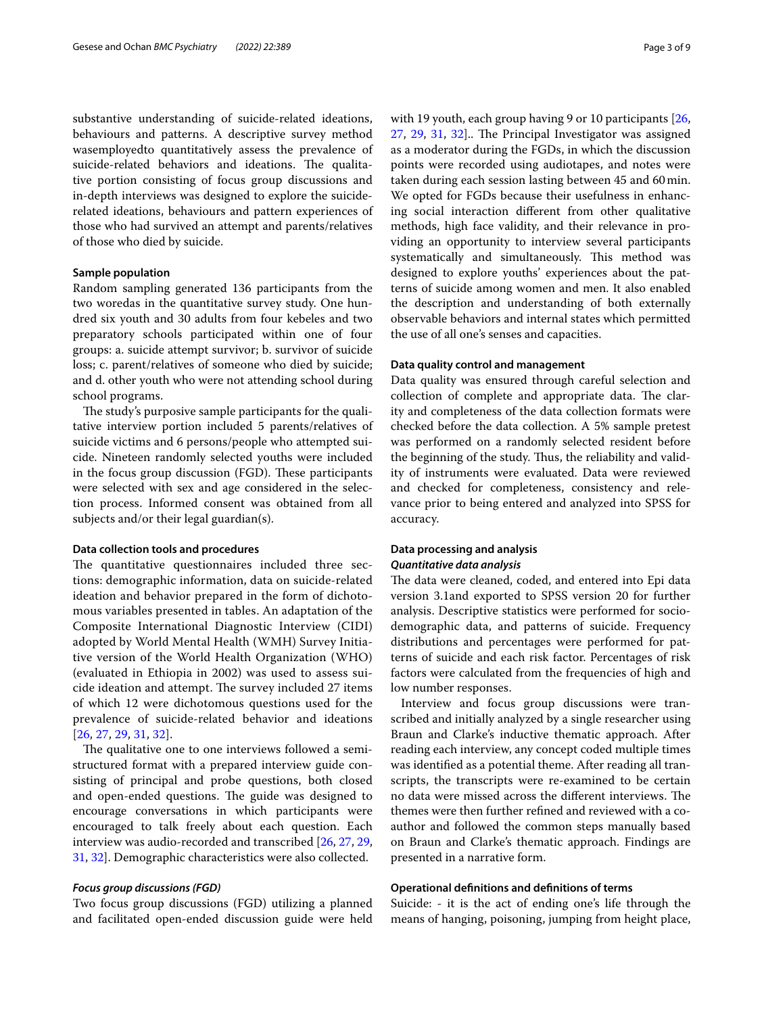substantive understanding of suicide-related ideations, behaviours and patterns. A descriptive survey method wasemployedto quantitatively assess the prevalence of suicide-related behaviors and ideations. The qualitative portion consisting of focus group discussions and in-depth interviews was designed to explore the suiciderelated ideations, behaviours and pattern experiences of those who had survived an attempt and parents/relatives of those who died by suicide.

#### **Sample population**

Random sampling generated 136 participants from the two woredas in the quantitative survey study. One hundred six youth and 30 adults from four kebeles and two preparatory schools participated within one of four groups: a. suicide attempt survivor; b. survivor of suicide loss; c. parent/relatives of someone who died by suicide; and d. other youth who were not attending school during school programs.

The study's purposive sample participants for the qualitative interview portion included 5 parents/relatives of suicide victims and 6 persons/people who attempted suicide. Nineteen randomly selected youths were included in the focus group discussion (FGD). These participants were selected with sex and age considered in the selection process. Informed consent was obtained from all subjects and/or their legal guardian(s).

#### **Data collection tools and procedures**

The quantitative questionnaires included three sections: demographic information, data on suicide-related ideation and behavior prepared in the form of dichotomous variables presented in tables. An adaptation of the Composite International Diagnostic Interview (CIDI) adopted by World Mental Health (WMH) Survey Initiative version of the World Health Organization (WHO) (evaluated in Ethiopia in 2002) was used to assess suicide ideation and attempt. The survey included 27 items of which 12 were dichotomous questions used for the prevalence of suicide-related behavior and ideations [[26](#page-8-25), [27,](#page-8-26) [29,](#page-8-28) [31](#page-8-30), [32](#page-8-31)].

The qualitative one to one interviews followed a semistructured format with a prepared interview guide consisting of principal and probe questions, both closed and open-ended questions. The guide was designed to encourage conversations in which participants were encouraged to talk freely about each question. Each interview was audio-recorded and transcribed [[26,](#page-8-25) [27](#page-8-26), [29](#page-8-28), [31,](#page-8-30) [32\]](#page-8-31). Demographic characteristics were also collected.

#### *Focus group discussions (FGD)*

Two focus group discussions (FGD) utilizing a planned and facilitated open-ended discussion guide were held with 19 youth, each group having 9 or 10 participants [[26](#page-8-25),  $27, 29, 31, 32$  $27, 29, 31, 32$  $27, 29, 31, 32$  $27, 29, 31, 32$  $27, 29, 31, 32$  $27, 29, 31, 32$ . The Principal Investigator was assigned as a moderator during the FGDs, in which the discussion points were recorded using audiotapes, and notes were taken during each session lasting between 45 and 60min. We opted for FGDs because their usefulness in enhancing social interaction diferent from other qualitative methods, high face validity, and their relevance in providing an opportunity to interview several participants systematically and simultaneously. This method was designed to explore youths' experiences about the patterns of suicide among women and men. It also enabled the description and understanding of both externally observable behaviors and internal states which permitted the use of all one's senses and capacities.

#### **Data quality control and management**

Data quality was ensured through careful selection and collection of complete and appropriate data. The clarity and completeness of the data collection formats were checked before the data collection. A 5% sample pretest was performed on a randomly selected resident before the beginning of the study. Thus, the reliability and validity of instruments were evaluated. Data were reviewed and checked for completeness, consistency and relevance prior to being entered and analyzed into SPSS for accuracy.

# **Data processing and analysis** *Quantitative data analysis*

The data were cleaned, coded, and entered into Epi data version 3.1and exported to SPSS version 20 for further analysis. Descriptive statistics were performed for sociodemographic data, and patterns of suicide. Frequency distributions and percentages were performed for patterns of suicide and each risk factor. Percentages of risk factors were calculated from the frequencies of high and low number responses.

Interview and focus group discussions were transcribed and initially analyzed by a single researcher using Braun and Clarke's inductive thematic approach. After reading each interview, any concept coded multiple times was identifed as a potential theme. After reading all transcripts, the transcripts were re-examined to be certain no data were missed across the different interviews. The themes were then further refned and reviewed with a coauthor and followed the common steps manually based on Braun and Clarke's thematic approach. Findings are presented in a narrative form.

#### **Operational defnitions and defnitions of terms**

Suicide: - it is the act of ending one's life through the means of hanging, poisoning, jumping from height place,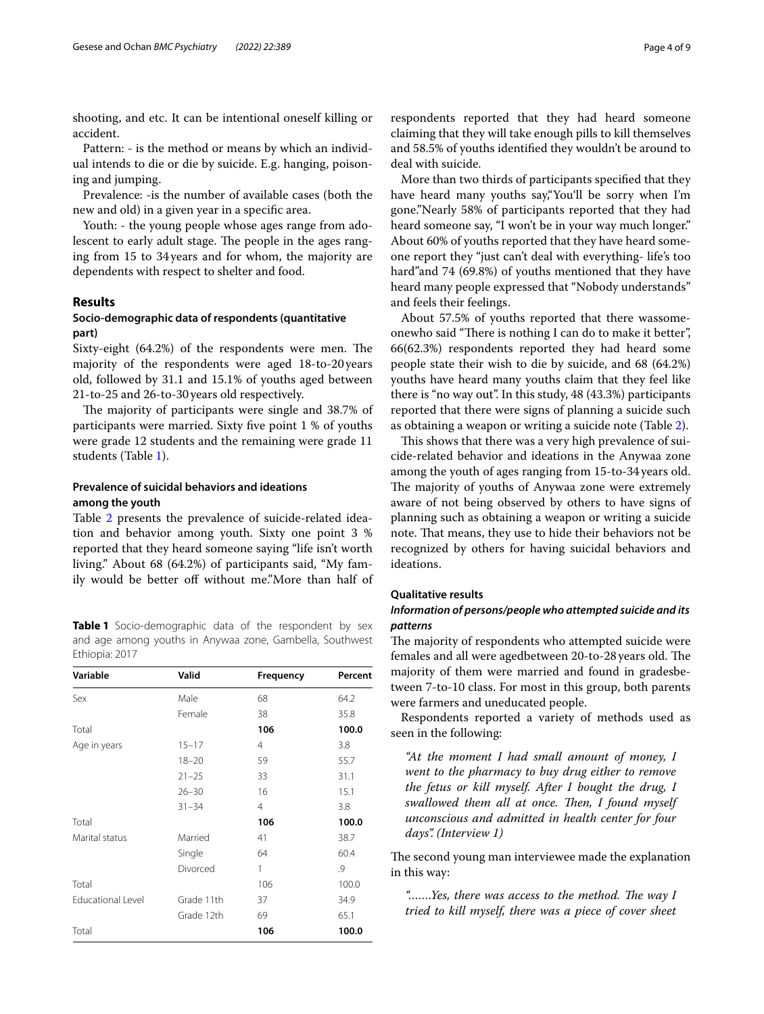shooting, and etc. It can be intentional oneself killing or accident.

Pattern: - is the method or means by which an individual intends to die or die by suicide. E.g. hanging, poisoning and jumping.

Prevalence: -is the number of available cases (both the new and old) in a given year in a specifc area.

Youth: - the young people whose ages range from adolescent to early adult stage. The people in the ages ranging from 15 to 34years and for whom, the majority are dependents with respect to shelter and food.

# **Results**

# **Socio‑demographic data of respondents (quantitative part)**

Sixty-eight (64.2%) of the respondents were men. The majority of the respondents were aged 18-to-20years old, followed by 31.1 and 15.1% of youths aged between 21-to-25 and 26-to-30years old respectively.

The majority of participants were single and 38.7% of participants were married. Sixty fve point 1 % of youths were grade 12 students and the remaining were grade 11 students (Table [1](#page-3-0)).

# **Prevalence of suicidal behaviors and ideations among the youth**

Table [2](#page-4-0) presents the prevalence of suicide-related ideation and behavior among youth. Sixty one point 3 % reported that they heard someone saying "life isn't worth living." About 68 (64.2%) of participants said, "My family would be better off without me."More than half of

<span id="page-3-0"></span>**Table 1** Socio-demographic data of the respondent by sex and age among youths in Anywaa zone, Gambella, Southwest Ethiopia: 2017

| Variable                 | Valid      | Frequency      | Percent |
|--------------------------|------------|----------------|---------|
| Sex                      | Male       | 68             | 64.2    |
|                          | Female     | 38             | 35.8    |
| Total                    |            | 106            | 100.0   |
| Age in years             | $15 - 17$  | $\overline{4}$ | 3.8     |
|                          | $18 - 20$  | 59             | 55.7    |
|                          | $21 - 25$  | 33             | 31.1    |
|                          | $26 - 30$  | 16             | 15.1    |
|                          | $31 - 34$  | $\overline{4}$ | 3.8     |
| Total                    |            | 106            | 100.0   |
| Marital status           | Married    | 41             | 38.7    |
|                          | Single     | 64             | 60.4    |
|                          | Divorced   | 1              | .9      |
| Total                    |            | 106            | 100.0   |
| <b>Educational Level</b> | Grade 11th | 37             | 34.9    |
|                          | Grade 12th | 69             | 65.1    |
| Total                    |            | 106            | 100.0   |

respondents reported that they had heard someone claiming that they will take enough pills to kill themselves and 58.5% of youths identifed they wouldn't be around to deal with suicide.

More than two thirds of participants specifed that they have heard many youths say,"You'll be sorry when I'm gone."Nearly 58% of participants reported that they had heard someone say, "I won't be in your way much longer." About 60% of youths reported that they have heard someone report they "just can't deal with everything- life's too hard"and 74 (69.8%) of youths mentioned that they have heard many people expressed that "Nobody understands" and feels their feelings.

About 57.5% of youths reported that there wassomeonewho said "There is nothing I can do to make it better", 66(62.3%) respondents reported they had heard some people state their wish to die by suicide, and 68 (64.2%) youths have heard many youths claim that they feel like there is "no way out". In this study, 48 (43.3%) participants reported that there were signs of planning a suicide such as obtaining a weapon or writing a suicide note (Table [2\)](#page-4-0).

This shows that there was a very high prevalence of suicide-related behavior and ideations in the Anywaa zone among the youth of ages ranging from 15-to-34 years old. The majority of youths of Anywaa zone were extremely aware of not being observed by others to have signs of planning such as obtaining a weapon or writing a suicide note. That means, they use to hide their behaviors not be recognized by others for having suicidal behaviors and ideations.

# **Qualitative results**

# *Information of persons/people who attempted suicide and its patterns*

The majority of respondents who attempted suicide were females and all were agedbetween 20-to-28 years old. The majority of them were married and found in gradesbetween 7-to-10 class. For most in this group, both parents were farmers and uneducated people.

Respondents reported a variety of methods used as seen in the following:

*"At the moment I had small amount of money, I went to the pharmacy to buy drug either to remove the fetus or kill myself. After I bought the drug, I*  swallowed them all at once. Then, I found myself *unconscious and admitted in health center for four days". (Interview 1)*

The second young man interviewee made the explanation in this way:

"......Yes, there was access to the method. The way I *tried to kill myself, there was a piece of cover sheet*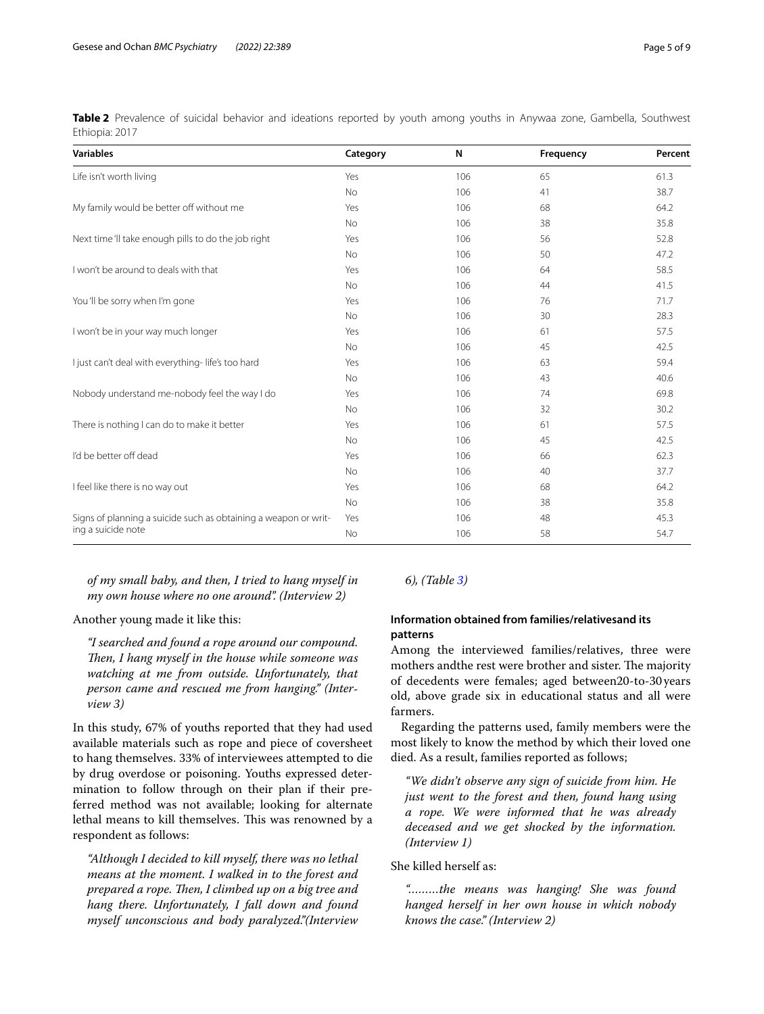| <b>Variables</b>                                                | Category  | N   | Frequency | Percent |
|-----------------------------------------------------------------|-----------|-----|-----------|---------|
| Life isn't worth living                                         | Yes       | 106 | 65        | 61.3    |
|                                                                 | No        | 106 | 41        | 38.7    |
| My family would be better off without me                        | Yes       | 106 | 68        | 64.2    |
|                                                                 | No        | 106 | 38        | 35.8    |
| Next time 'II take enough pills to do the job right             | Yes       | 106 | 56        | 52.8    |
|                                                                 | <b>No</b> | 106 | 50        | 47.2    |
| I won't be around to deals with that                            | Yes       | 106 | 64        | 58.5    |
|                                                                 | No        | 106 | 44        | 41.5    |
| You 'll be sorry when I'm gone                                  | Yes       | 106 | 76        | 71.7    |
|                                                                 | No        | 106 | 30        | 28.3    |
| I won't be in your way much longer                              | Yes       | 106 | 61        | 57.5    |
|                                                                 | No        | 106 | 45        | 42.5    |
| I just can't deal with everything- life's too hard              | Yes       | 106 | 63        | 59.4    |
|                                                                 | No        | 106 | 43        | 40.6    |
| Nobody understand me-nobody feel the way I do                   | Yes       | 106 | 74        | 69.8    |
|                                                                 | No        | 106 | 32        | 30.2    |
| There is nothing I can do to make it better                     | Yes       | 106 | 61        | 57.5    |
|                                                                 | <b>No</b> | 106 | 45        | 42.5    |
| I'd be better off dead                                          | Yes       | 106 | 66        | 62.3    |
|                                                                 | No        | 106 | 40        | 37.7    |
| I feel like there is no way out                                 | Yes       | 106 | 68        | 64.2    |
|                                                                 | No        | 106 | 38        | 35.8    |
| Signs of planning a suicide such as obtaining a weapon or writ- | Yes       | 106 | 48        | 45.3    |
| ing a suicide note                                              | No        | 106 | 58        | 54.7    |

<span id="page-4-0"></span>**Table 2** Prevalence of suicidal behavior and ideations reported by youth among youths in Anywaa zone, Gambella, Southwest Ethiopia: 2017

*of my small baby, and then, I tried to hang myself in my own house where no one around". (Interview 2)*

Another young made it like this:

*"I searched and found a rope around our compound. Then, I hang myself in the house while someone was watching at me from outside. Unfortunately, that person came and rescued me from hanging." (Interview 3)* 

In this study, 67% of youths reported that they had used available materials such as rope and piece of coversheet to hang themselves. 33% of interviewees attempted to die by drug overdose or poisoning. Youths expressed determination to follow through on their plan if their preferred method was not available; looking for alternate lethal means to kill themselves. This was renowned by a respondent as follows:

*"Although I decided to kill myself, there was no lethal means at the moment. I walked in to the forest and prepared a rope. Then, I climbed up on a big tree and hang there. Unfortunately, I fall down and found myself unconscious and body paralyzed."(Interview* 

# *6), (Table [3\)](#page-5-0)*

# **Information obtained from families/relativesand its patterns**

Among the interviewed families/relatives, three were mothers and the rest were brother and sister. The majority of decedents were females; aged between20-to-30 years old, above grade six in educational status and all were farmers.

Regarding the patterns used, family members were the most likely to know the method by which their loved one died. As a result, families reported as follows;

*"We didn't observe any sign of suicide from him. He just went to the forest and then, found hang using a rope. We were informed that he was already deceased and we get shocked by the information. (Interview 1)*

She killed herself as:

*"………the means was hanging! She was found hanged herself in her own house in which nobody knows the case." (Interview 2)*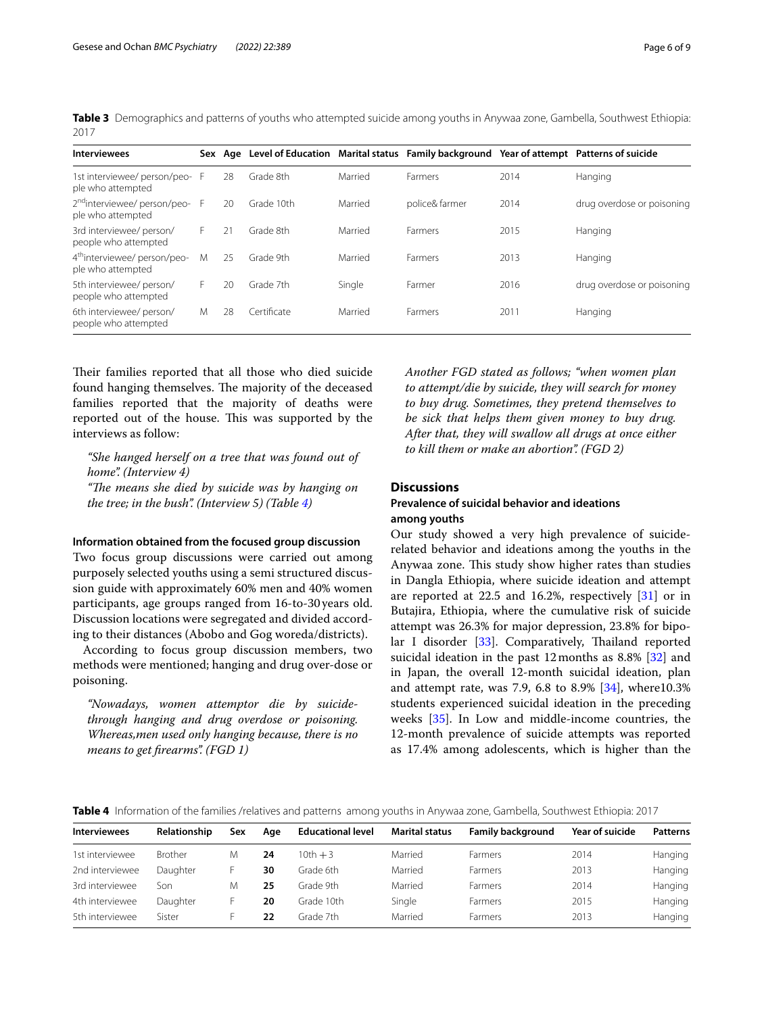<span id="page-5-0"></span>**Table 3** Demographics and patterns of youths who attempted suicide among youths in Anywaa zone, Gambella, Southwest Ethiopia: 2017

| <b>Interviewees</b>                                           |    |    |             |         | Sex Age Level of Education Marital status Family background Year of attempt Patterns of suicide |      |                            |
|---------------------------------------------------------------|----|----|-------------|---------|-------------------------------------------------------------------------------------------------|------|----------------------------|
| 1st interviewee/person/peo- F<br>ple who attempted            |    | 28 | Grade 8th   | Married | Farmers                                                                                         | 2014 | Hanging                    |
| 2 <sup>nd</sup> interviewee/person/peo-F<br>ple who attempted |    | 20 | Grade 10th  | Married | police& farmer                                                                                  | 2014 | drug overdose or poisoning |
| 3rd interviewee/ person/<br>people who attempted              | F. | 21 | Grade 8th   | Married | Farmers                                                                                         | 2015 | Hanging                    |
| 4 <sup>th</sup> interviewee/person/peo-<br>ple who attempted  | Μ  | 25 | Grade 9th   | Married | Farmers                                                                                         | 2013 | Hanging                    |
| 5th interviewee/ person/<br>people who attempted              | F. | 20 | Grade 7th   | Single  | Farmer                                                                                          | 2016 | drug overdose or poisoning |
| 6th interviewee/ person/<br>people who attempted              | M  | 28 | Certificate | Married | Farmers                                                                                         | 2011 | Hanging                    |

Their families reported that all those who died suicide found hanging themselves. The majority of the deceased families reported that the majority of deaths were reported out of the house. This was supported by the interviews as follow:

*"She hanged herself on a tree that was found out of home". (Interview 4)* "The means she died by suicide was by hanging on *the tree; in the bush". (Interview 5) (Table [4](#page-5-1))*

#### **Information obtained from the focused group discussion**

Two focus group discussions were carried out among purposely selected youths using a semi structured discussion guide with approximately 60% men and 40% women participants, age groups ranged from 16-to-30 years old. Discussion locations were segregated and divided according to their distances (Abobo and Gog woreda/districts).

According to focus group discussion members, two methods were mentioned; hanging and drug over-dose or poisoning.

*"Nowadays, women attemptor die by suicidethrough hanging and drug overdose or poisoning. Whereas,men used only hanging because, there is no means to get frearms". (FGD 1)*

*Another FGD stated as follows; "when women plan to attempt/die by suicide, they will search for money to buy drug. Sometimes, they pretend themselves to be sick that helps them given money to buy drug. After that, they will swallow all drugs at once either to kill them or make an abortion". (FGD 2)*

# **Discussions**

# **Prevalence of suicidal behavior and ideations among youths**

Our study showed a very high prevalence of suiciderelated behavior and ideations among the youths in the Anywaa zone. This study show higher rates than studies in Dangla Ethiopia, where suicide ideation and attempt are reported at 22.5 and 16.2%, respectively [\[31\]](#page-8-30) or in Butajira, Ethiopia, where the cumulative risk of suicide attempt was 26.3% for major depression, 23.8% for bipo-lar I disorder [\[33](#page-8-32)]. Comparatively, Thailand reported suicidal ideation in the past 12months as 8.8% [[32\]](#page-8-31) and in Japan, the overall 12-month suicidal ideation, plan and attempt rate, was 7.9, 6.8 to 8.9% [[34\]](#page-8-33), where10.3% students experienced suicidal ideation in the preceding weeks [\[35](#page-8-34)]. In Low and middle-income countries, the 12-month prevalence of suicide attempts was reported as 17.4% among adolescents, which is higher than the

<span id="page-5-1"></span>**Table 4** Information of the families /relatives and patterns among youths in Anywaa zone, Gambella, Southwest Ethiopia: 2017

| <b>Interviewees</b> | Relationship   | Sex | Aae | <b>Educational level</b> | <b>Marital status</b> | <b>Family background</b> | Year of suicide | Patterns |
|---------------------|----------------|-----|-----|--------------------------|-----------------------|--------------------------|-----------------|----------|
| 1st interviewee     | <b>Brother</b> | M   | 24  | $10th + 3$               | Married               | Farmers                  | 2014            | Hanging  |
| 2nd interviewee     | Daughter       |     | 30  | Grade 6th                | Married               | Farmers                  | 2013            | Hanging  |
| 3rd interviewee     | Son            | M   | 25  | Grade 9th                | Married               | Farmers                  | 2014            | Hanging  |
| 4th interviewee     | Daughter       |     | 20  | Grade 10th               | Single                | Farmers                  | 2015            | Hanging  |
| 5th interviewee     | Sister         |     | 22  | Grade 7th                | Married               | Farmers                  | 2013            | Hanging  |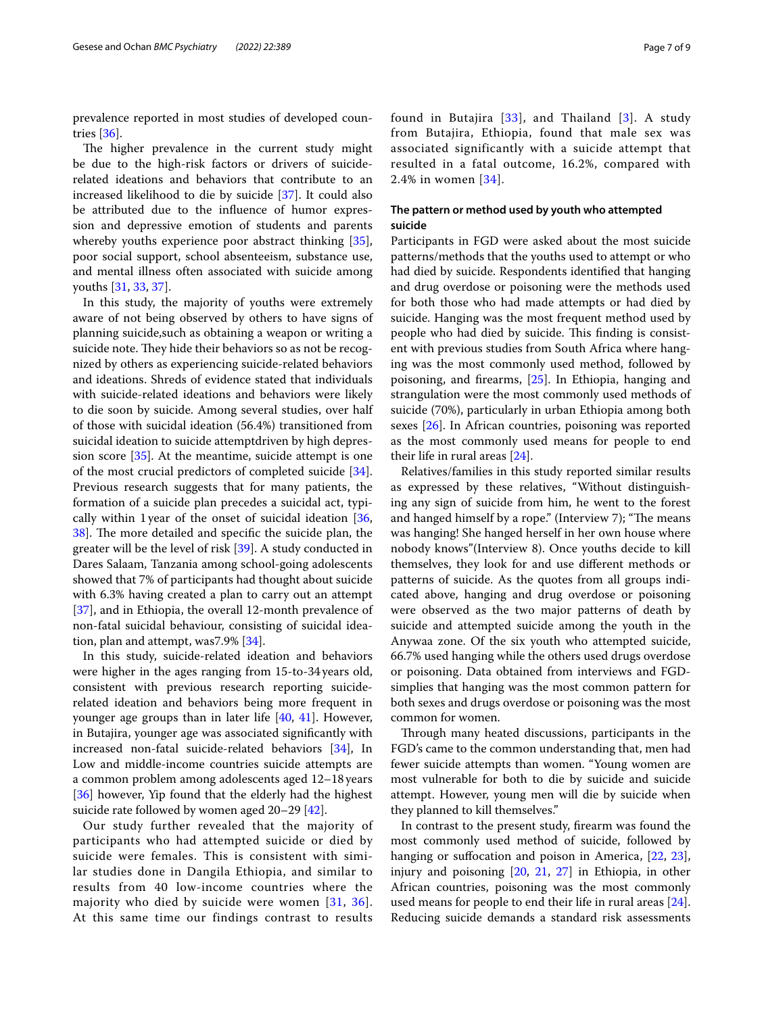prevalence reported in most studies of developed countries [\[36](#page-8-35)].

The higher prevalence in the current study might be due to the high-risk factors or drivers of suiciderelated ideations and behaviors that contribute to an increased likelihood to die by suicide [[37\]](#page-8-36). It could also be attributed due to the infuence of humor expression and depressive emotion of students and parents whereby youths experience poor abstract thinking [\[35](#page-8-34)], poor social support, school absenteeism, substance use, and mental illness often associated with suicide among youths [[31](#page-8-30), [33,](#page-8-32) [37](#page-8-36)].

In this study, the majority of youths were extremely aware of not being observed by others to have signs of planning suicide,such as obtaining a weapon or writing a suicide note. They hide their behaviors so as not be recognized by others as experiencing suicide-related behaviors and ideations. Shreds of evidence stated that individuals with suicide-related ideations and behaviors were likely to die soon by suicide. Among several studies, over half of those with suicidal ideation (56.4%) transitioned from suicidal ideation to suicide attemptdriven by high depression score [[35\]](#page-8-34). At the meantime, suicide attempt is one of the most crucial predictors of completed suicide [\[34](#page-8-33)]. Previous research suggests that for many patients, the formation of a suicide plan precedes a suicidal act, typically within 1year of the onset of suicidal ideation [\[36](#page-8-35), 38. The more detailed and specific the suicide plan, the greater will be the level of risk [\[39](#page-8-38)]. A study conducted in Dares Salaam, Tanzania among school-going adolescents showed that 7% of participants had thought about suicide with 6.3% having created a plan to carry out an attempt [[37\]](#page-8-36), and in Ethiopia, the overall 12-month prevalence of non-fatal suicidal behaviour, consisting of suicidal ideation, plan and attempt, was7.9% [[34\]](#page-8-33).

In this study, suicide-related ideation and behaviors were higher in the ages ranging from 15-to-34 years old, consistent with previous research reporting suiciderelated ideation and behaviors being more frequent in younger age groups than in later life [[40](#page-8-39), [41](#page-8-40)]. However, in Butajira, younger age was associated signifcantly with increased non-fatal suicide-related behaviors [\[34](#page-8-33)], In Low and middle-income countries suicide attempts are a common problem among adolescents aged 12–18 years [[36\]](#page-8-35) however, Yip found that the elderly had the highest suicide rate followed by women aged 20–29 [[42\]](#page-8-41).

Our study further revealed that the majority of participants who had attempted suicide or died by suicide were females. This is consistent with similar studies done in Dangila Ethiopia, and similar to results from 40 low-income countries where the majority who died by suicide were women  $[31, 36]$  $[31, 36]$  $[31, 36]$  $[31, 36]$ . At this same time our findings contrast to results found in Butajira [[33](#page-8-32)], and Thailand [[3\]](#page-8-2). A study from Butajira, Ethiopia, found that male sex was associated significantly with a suicide attempt that resulted in a fatal outcome, 16.2%, compared with 2.4% in women [[34\]](#page-8-33).

# **The pattern or method used by youth who attempted suicide**

Participants in FGD were asked about the most suicide patterns/methods that the youths used to attempt or who had died by suicide. Respondents identifed that hanging and drug overdose or poisoning were the methods used for both those who had made attempts or had died by suicide. Hanging was the most frequent method used by people who had died by suicide. This finding is consistent with previous studies from South Africa where hanging was the most commonly used method, followed by poisoning, and frearms, [\[25](#page-8-24)]. In Ethiopia, hanging and strangulation were the most commonly used methods of suicide (70%), particularly in urban Ethiopia among both sexes [\[26](#page-8-25)]. In African countries, poisoning was reported as the most commonly used means for people to end their life in rural areas [\[24](#page-8-23)].

Relatives/families in this study reported similar results as expressed by these relatives, "Without distinguishing any sign of suicide from him, he went to the forest and hanged himself by a rope." (Interview 7); "The means was hanging! She hanged herself in her own house where nobody knows"(Interview 8). Once youths decide to kill themselves, they look for and use diferent methods or patterns of suicide. As the quotes from all groups indicated above, hanging and drug overdose or poisoning were observed as the two major patterns of death by suicide and attempted suicide among the youth in the Anywaa zone. Of the six youth who attempted suicide, 66.7% used hanging while the others used drugs overdose or poisoning. Data obtained from interviews and FGDsimplies that hanging was the most common pattern for both sexes and drugs overdose or poisoning was the most common for women.

Through many heated discussions, participants in the FGD's came to the common understanding that, men had fewer suicide attempts than women. "Young women are most vulnerable for both to die by suicide and suicide attempt. However, young men will die by suicide when they planned to kill themselves."

In contrast to the present study, frearm was found the most commonly used method of suicide, followed by hanging or suffocation and poison in America, [[22,](#page-8-21) [23](#page-8-22)], injury and poisoning [[20,](#page-8-19) [21](#page-8-20), [27](#page-8-26)] in Ethiopia, in other African countries, poisoning was the most commonly used means for people to end their life in rural areas [\[24](#page-8-23)]. Reducing suicide demands a standard risk assessments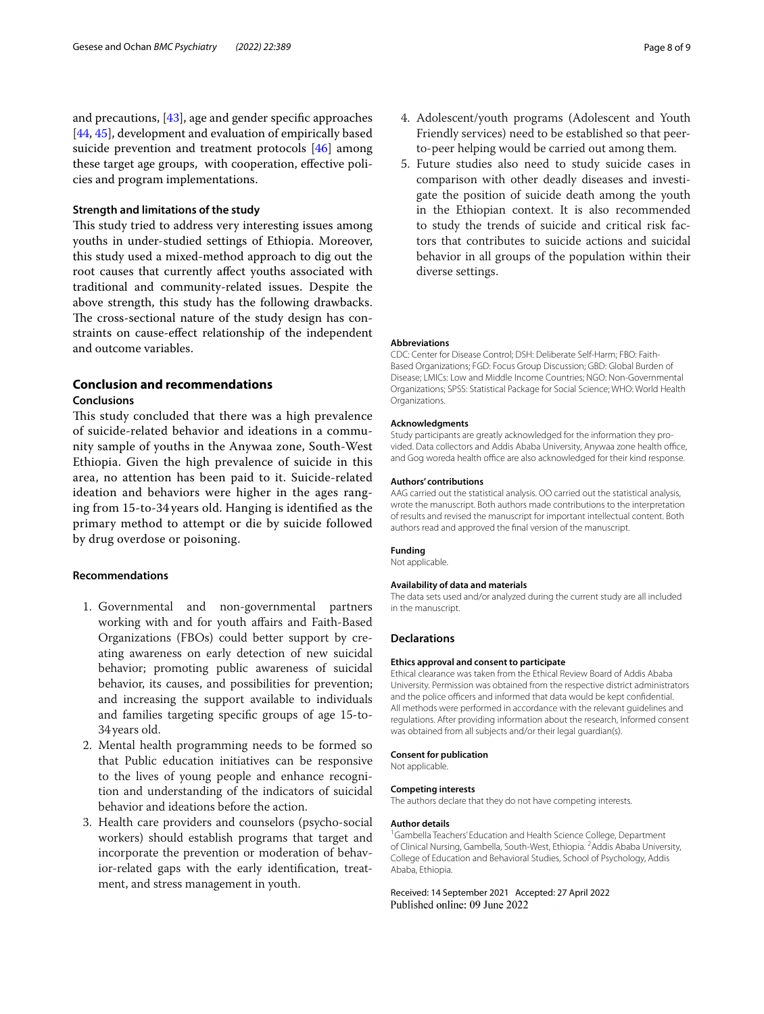and precautions, [\[43\]](#page-8-42), age and gender specifc approaches [[44,](#page-8-43) [45\]](#page-8-44), development and evaluation of empirically based suicide prevention and treatment protocols [[46\]](#page-8-45) among these target age groups, with cooperation, efective policies and program implementations.

# **Strength and limitations of the study**

This study tried to address very interesting issues among youths in under-studied settings of Ethiopia. Moreover, this study used a mixed-method approach to dig out the root causes that currently afect youths associated with traditional and community-related issues. Despite the above strength, this study has the following drawbacks. The cross-sectional nature of the study design has constraints on cause-efect relationship of the independent and outcome variables.

# **Conclusion and recommendations**

# **Conclusions**

This study concluded that there was a high prevalence of suicide-related behavior and ideations in a community sample of youths in the Anywaa zone, South-West Ethiopia. Given the high prevalence of suicide in this area, no attention has been paid to it. Suicide-related ideation and behaviors were higher in the ages ranging from 15-to-34 years old. Hanging is identifed as the primary method to attempt or die by suicide followed by drug overdose or poisoning.

# **Recommendations**

- 1. Governmental and non-governmental partners working with and for youth afairs and Faith-Based Organizations (FBOs) could better support by creating awareness on early detection of new suicidal behavior; promoting public awareness of suicidal behavior, its causes, and possibilities for prevention; and increasing the support available to individuals and families targeting specifc groups of age 15-to-34years old.
- 2. Mental health programming needs to be formed so that Public education initiatives can be responsive to the lives of young people and enhance recognition and understanding of the indicators of suicidal behavior and ideations before the action.
- 3. Health care providers and counselors (psycho-social workers) should establish programs that target and incorporate the prevention or moderation of behavior-related gaps with the early identifcation, treatment, and stress management in youth.
- 4. Adolescent/youth programs (Adolescent and Youth Friendly services) need to be established so that peerto-peer helping would be carried out among them.
- 5. Future studies also need to study suicide cases in comparison with other deadly diseases and investigate the position of suicide death among the youth in the Ethiopian context. It is also recommended to study the trends of suicide and critical risk factors that contributes to suicide actions and suicidal behavior in all groups of the population within their diverse settings.

#### **Abbreviations**

CDC: Center for Disease Control; DSH: Deliberate Self-Harm; FBO: Faith-Based Organizations; FGD: Focus Group Discussion; GBD: Global Burden of Disease; LMICs: Low and Middle Income Countries; NGO: Non-Governmental Organizations; SPSS: Statistical Package for Social Science; WHO: World Health Organizations.

#### **Acknowledgments**

Study participants are greatly acknowledged for the information they provided. Data collectors and Addis Ababa University, Anywaa zone health office, and Gog woreda health office are also acknowledged for their kind response.

#### **Authors' contributions**

AAG carried out the statistical analysis. OO carried out the statistical analysis, wrote the manuscript. Both authors made contributions to the interpretation of results and revised the manuscript for important intellectual content. Both authors read and approved the fnal version of the manuscript.

#### **Funding**

Not applicable.

#### **Availability of data and materials**

The data sets used and/or analyzed during the current study are all included in the manuscript.

#### **Declarations**

#### **Ethics approval and consent to participate**

Ethical clearance was taken from the Ethical Review Board of Addis Ababa University. Permission was obtained from the respective district administrators and the police officers and informed that data would be kept confidential. All methods were performed in accordance with the relevant guidelines and regulations. After providing information about the research, Informed consent was obtained from all subjects and/or their legal guardian(s).

#### **Consent for publication**

Not applicable.

#### **Competing interests**

The authors declare that they do not have competing interests.

#### **Author details**

<sup>1</sup> Gambella Teachers' Education and Health Science College, Department of Clinical Nursing, Gambella, South-West, Ethiopia. <sup>2</sup> Addis Ababa University, College of Education and Behavioral Studies, School of Psychology, Addis Ababa, Ethiopia.

#### Received: 14 September 2021 Accepted: 27 April 2022Published online: 09 June 2022